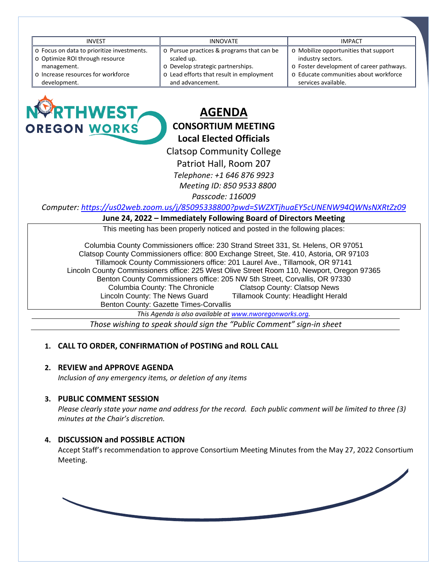| <b>INVEST</b>                              | <b>INNOVATE</b>                           | <b>IMPACT</b>                            |
|--------------------------------------------|-------------------------------------------|------------------------------------------|
| o Focus on data to prioritize investments. | o Pursue practices & programs that can be | o Mobilize opportunities that support    |
| o Optimize ROI through resource            | scaled up.                                | industry sectors.                        |
| management.                                | o Develop strategic partnerships.         | o Foster development of career pathways. |
| o Increase resources for workforce         | o Lead efforts that result in employment  | o Educate communities about workforce    |
| development.                               | and advancement.                          | services available.                      |
|                                            |                                           |                                          |



# **AGENDA CONSORTIUM MEETING Local Elected Officials**

Clatsop Community College

Patriot Hall, Room 207

*Telephone: +1 646 876 9923*

 *Meeting ID: 850 9533 8800*

*Passcode: 116009*

*Computer:<https://us02web.zoom.us/j/85095338800?pwd=SWZXTjhuaEY5cUNENW94QWNsNXRtZz09>*

#### **June 24, 2022 – Immediately Following Board of Directors Meeting**

This meeting has been properly noticed and posted in the following places:

Columbia County Commissioners office: 230 Strand Street 331, St. Helens, OR 97051 Clatsop County Commissioners office: 800 Exchange Street, Ste. 410, Astoria, OR 97103 Tillamook County Commissioners office: 201 Laurel Ave., Tillamook, OR 97141 Lincoln County Commissioners office: 225 West Olive Street Room 110, Newport, Oregon 97365 Benton County Commissioners office: 205 NW 5th Street, Corvallis, OR 97330 Columbia County: The Chronicle and Clatsop County: Clatsop News<br>Coln County: The News Guard and Tillamook County: Headlight Herald Lincoln County: The News Guard Benton County: Gazette Times-Corvallis

*This Agenda is also available a[t www.nworegonworks.org.](http://www.nworegonworks.org/)* 

*Those wishing to speak should sign the "Public Comment" sign-in sheet*

## **1. CALL TO ORDER, CONFIRMATION of POSTING and ROLL CALL**

## **2. REVIEW and APPROVE AGENDA**

*Inclusion of any emergency items, or deletion of any items*

#### **3. PUBLIC COMMENT SESSION**

*Please clearly state your name and address for the record. Each public comment will be limited to three (3) minutes at the Chair's discretion.*

## **4. DISCUSSION and POSSIBLE ACTION**

Accept Staff's recommendation to approve Consortium Meeting Minutes from the May 27, 2022 Consortium Meeting.